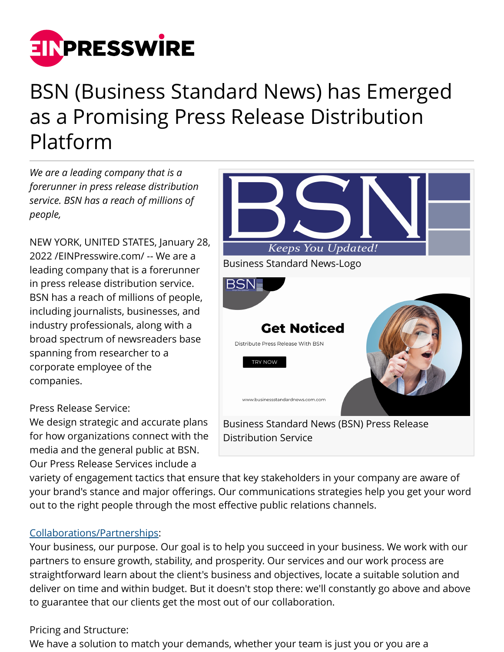

## BSN (Business Standard News) has Emerged as a Promising Press Release Distribution Platform

*We are a leading company that is a forerunner in press release distribution service. BSN has a reach of millions of people,*

NEW YORK, UNITED STATES, January 28, 2022 /[EINPresswire.com](http://www.einpresswire.com)/ -- We are a leading company that is a forerunner in press release distribution service. BSN has a reach of millions of people, including journalists, businesses, and industry professionals, along with a broad spectrum of newsreaders base spanning from researcher to a corporate employee of the companies.

Press Release Service:

We design strategic and accurate plans for how organizations connect with the media and the general public at BSN. Our Press Release Services include a



variety of engagement tactics that ensure that key stakeholders in your company are aware of your brand's stance and major offerings. Our communications strategies help you get your word out to the right people through the most effective public relations channels.

## [Collaborations/Partnerships:](https://businessstandardnews.com/partnership/)

Your business, our purpose. Our goal is to help you succeed in your business. We work with our partners to ensure growth, stability, and prosperity. Our services and our work process are straightforward learn about the client's business and objectives, locate a suitable solution and deliver on time and within budget. But it doesn't stop there: we'll constantly go above and above to guarantee that our clients get the most out of our collaboration.

## Pricing and Structure:

We have a solution to match your demands, whether your team is just you or you are a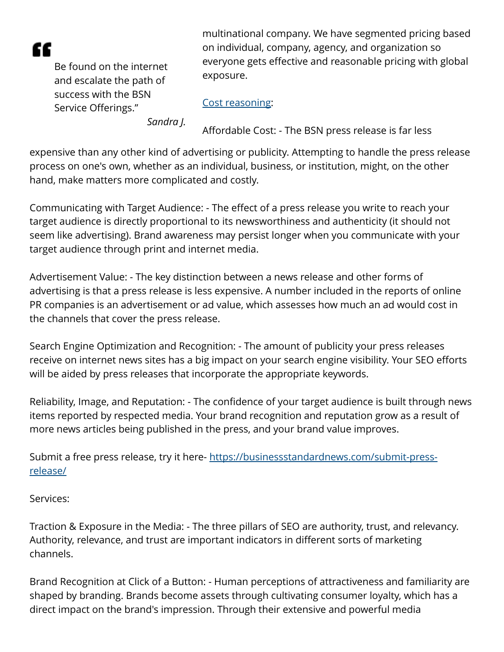æ

Be found on the internet and escalate the path of success with the BSN Service Offerings."

multinational company. We have segmented pricing based on individual, company, agency, and organization so everyone gets effective and reasonable pricing with global exposure.

## [Cost reasoning](https://businessstandardnews.com/pricing/):

*Sandra J.*

Affordable Cost: - The BSN press release is far less

expensive than any other kind of advertising or publicity. Attempting to handle the press release process on one's own, whether as an individual, business, or institution, might, on the other hand, make matters more complicated and costly.

Communicating with Target Audience: - The effect of a press release you write to reach your target audience is directly proportional to its newsworthiness and authenticity (it should not seem like advertising). Brand awareness may persist longer when you communicate with your target audience through print and internet media.

Advertisement Value: - The key distinction between a news release and other forms of advertising is that a press release is less expensive. A number included in the reports of online PR companies is an advertisement or ad value, which assesses how much an ad would cost in the channels that cover the press release.

Search Engine Optimization and Recognition: - The amount of publicity your press releases receive on internet news sites has a big impact on your search engine visibility. Your SEO efforts will be aided by press releases that incorporate the appropriate keywords.

Reliability, Image, and Reputation: - The confidence of your target audience is built through news items reported by respected media. Your brand recognition and reputation grow as a result of more news articles being published in the press, and your brand value improves.

Submit a free press release, try it here- [https://businessstandardnews.com/submit-press](https://businessstandardnews.com/submit-press-release/)[release/](https://businessstandardnews.com/submit-press-release/)

Services:

Traction & Exposure in the Media: - The three pillars of SEO are authority, trust, and relevancy. Authority, relevance, and trust are important indicators in different sorts of marketing channels.

Brand Recognition at Click of a Button: - Human perceptions of attractiveness and familiarity are shaped by branding. Brands become assets through cultivating consumer loyalty, which has a direct impact on the brand's impression. Through their extensive and powerful media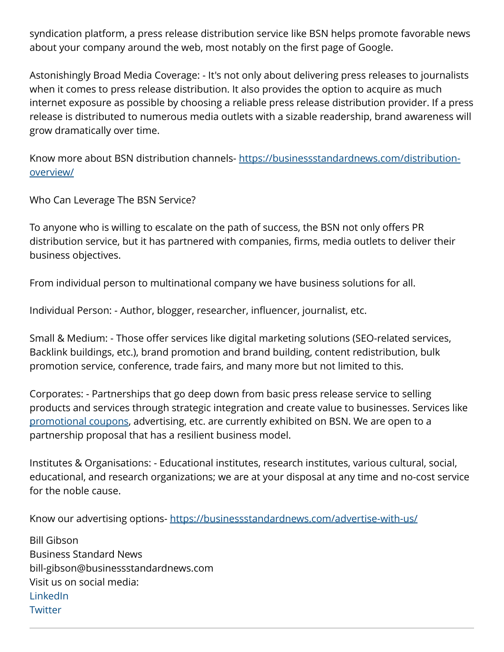syndication platform, a press release distribution service like BSN helps promote favorable news about your company around the web, most notably on the first page of Google.

Astonishingly Broad Media Coverage: - It's not only about delivering press releases to journalists when it comes to press release distribution. It also provides the option to acquire as much internet exposure as possible by choosing a reliable press release distribution provider. If a press release is distributed to numerous media outlets with a sizable readership, brand awareness will grow dramatically over time.

Know more about BSN distribution channels- [https://businessstandardnews.com/distribution](https://businessstandardnews.com/distribution-overview/)[overview/](https://businessstandardnews.com/distribution-overview/)

Who Can Leverage The BSN Service?

To anyone who is willing to escalate on the path of success, the BSN not only offers PR distribution service, but it has partnered with companies, firms, media outlets to deliver their business objectives.

From individual person to multinational company we have business solutions for all.

Individual Person: - Author, blogger, researcher, influencer, journalist, etc.

Small & Medium: - Those offer services like digital marketing solutions (SEO-related services, Backlink buildings, etc.), brand promotion and brand building, content redistribution, bulk promotion service, conference, trade fairs, and many more but not limited to this.

Corporates: - Partnerships that go deep down from basic press release service to selling products and services through strategic integration and create value to businesses. Services like [promotional coupons](https://businessstandardnews.com/coupons/), advertising, etc. are currently exhibited on BSN. We are open to a partnership proposal that has a resilient business model.

Institutes & Organisations: - Educational institutes, research institutes, various cultural, social, educational, and research organizations; we are at your disposal at any time and no-cost service for the noble cause.

Know our advertising options- <https://businessstandardnews.com/advertise-with-us/>

Bill Gibson Business Standard News bill-gibson@businessstandardnews.com Visit us on social media: **[LinkedIn](https://www.linkedin.com/company/business-standard-news) [Twitter](https://twitter.com/BusinessStand12)**